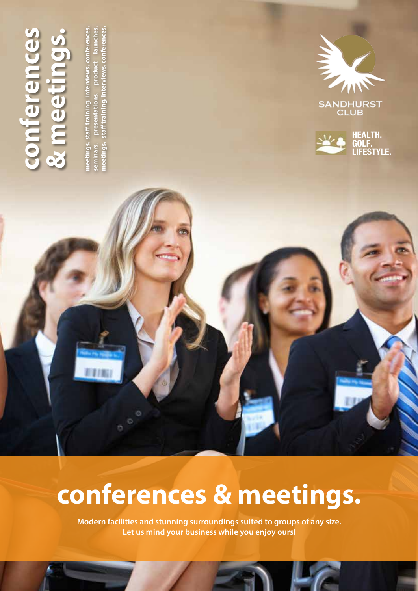

**meetings. staff training. interviews. conferences. seminars. presentations. product launches. meetings. staff training. interviews. conferences.** seminars. presentations. product launches. meetings. staff training. interviews. conferences. meetings. staff training. interviews. conferences



SANDHURST<br>CLUB



# **conferences & meetings.**

**Modern facilities and stunning surroundings suited to groups of any size. Let us mind your business while you enjoy ours!**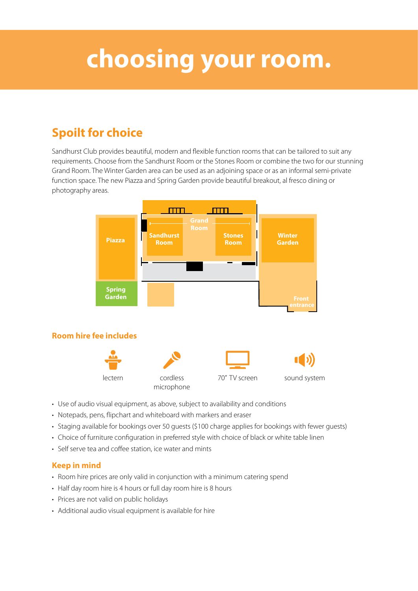## **choosing your room.**

### **Spoilt for choice**

Sandhurst Club provides beautiful, modern and flexible function rooms that can be tailored to suit any requirements. Choose from the Sandhurst Room or the Stones Room or combine the two for our stunning Grand Room. The Winter Garden area can be used as an adjoining space or as an informal semi-private function space. The new Piazza and Spring Garden provide beautiful breakout, al fresco dining or photography areas.



- Use of audio visual equipment, as above, subject to availability and conditions
- Notepads, pens, flipchart and whiteboard with markers and eraser
- Staging available for bookings over 50 quests (\$100 charge applies for bookings with fewer quests)
- Choice of furniture configuration in preferred style with choice of black or white table linen
- • Self serve tea and coffee station, ice water and mints

#### **Keep in mind**

- Room hire prices are only valid in conjunction with a minimum catering spend
- Half day room hire is 4 hours or full day room hire is 8 hours
- Prices are not valid on public holidays
- Additional audio visual equipment is available for hire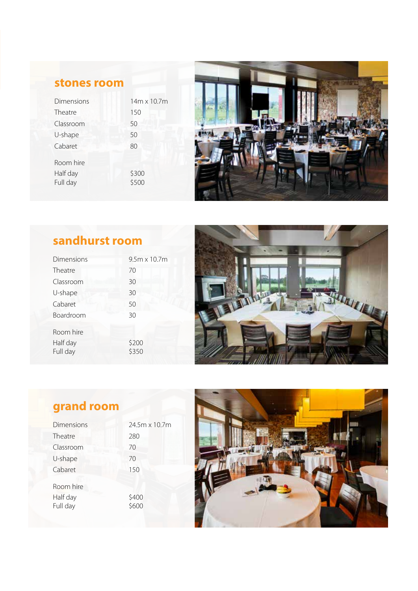### **stones room**

| Dimensions                        | 14m x 10.7m    |
|-----------------------------------|----------------|
| Theatre                           | 150            |
| Classroom                         | 50             |
| U-shape                           | 50             |
| Cabaret                           | 80             |
| Room hire<br>Half day<br>Full day | \$300<br>\$500 |



### **sandhurst room**

| Dimensions | $9.5m \times 10.7m$ |
|------------|---------------------|
| Theatre    | 70                  |
| Classroom  | 30                  |
| U-shape    | 30                  |
| Cabaret    | 50                  |
| Boardroom  | 30                  |
| Room hire  |                     |
| Half day   | \$200               |
| Full day   | \$350               |



### **grand room**

| Dimensions                        | 24.5m x 10.7m  |
|-----------------------------------|----------------|
| Theatre                           | 280            |
| Classroom                         | 70             |
| U-shape                           | 70             |
| Cabaret                           | 150            |
| Room hire<br>Half day<br>Full day | \$400<br>\$600 |

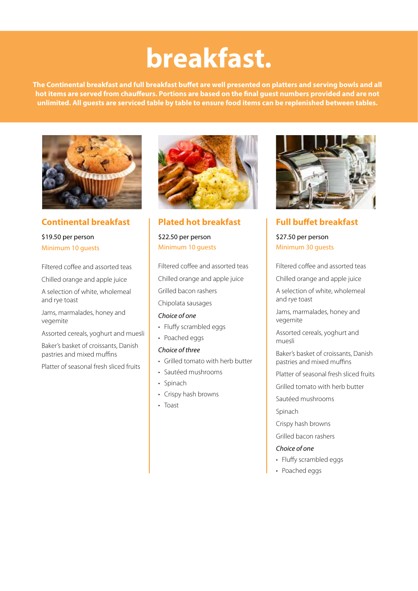# **breakfast.**

**The Continental breakfast and full breakfast buffet are well presented on platters and serving bowls and all hot items are served from chauffeurs. Portions are based on the final guest numbers provided and are not unlimited. All guests are serviced table by table to ensure food items can be replenished between tables.**



**Continental breakfast**

#### \$19.50 per person Minimum 10 guests

Filtered coffee and assorted teas

Chilled orange and apple juice

A selection of white, wholemeal and rye toast

Jams, marmalades, honey and vegemite

Assorted cereals, yoghurt and muesli

Baker's basket of croissants, Danish pastries and mixed muffins

Platter of seasonal fresh sliced fruits



#### **Plated hot breakfast**

\$22.50 per person Minimum 10 guests

Filtered coffee and assorted teas Chilled orange and apple juice Grilled bacon rashers Chipolata sausages

#### *Choice of one*

- Fluffy scrambled eggs
- Poached eggs

#### *Choice of three*

- • Grilled tomato with herb butter
- • Sautéed mushrooms
- Spinach
- Crispy hash browns
- • Toast



**Full buffet breakfast** \$27.50 per person Minimum 30 guests

Filtered coffee and assorted teas

Chilled orange and apple juice

A selection of white, wholemeal and rye toast

Jams, marmalades, honey and vegemite

Assorted cereals, yoghurt and muesli

Baker's basket of croissants, Danish pastries and mixed muffins

Platter of seasonal fresh sliced fruits

Grilled tomato with herb butter

Sautéed mushrooms

Spinach

Crispy hash browns

Grilled bacon rashers

#### *Choice of one*

- Fluffy scrambled eggs
- Poached eggs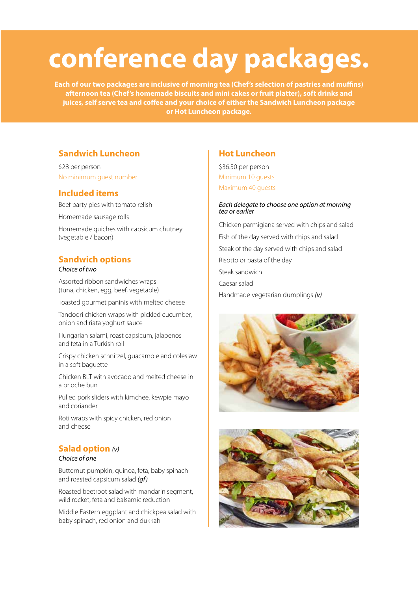# **conference day packages.**

**Each of our two packages are inclusive of morning tea (Chef's selection of pastries and muffins) afternoon tea (Chef's homemade biscuits and mini cakes or fruit platter), soft drinks and juices, self serve tea and coffee and your choice of either the Sandwich Luncheon package or Hot Luncheon package.**

#### **Sandwich Luncheon**

\$28 per person No minimum guest number

#### **Included items**

Beef party pies with tomato relish

Homemade sausage rolls

Homemade quiches with capsicum chutney (vegetable / bacon)

#### **Sandwich options**

#### *Choice of two*

Assorted ribbon sandwiches wraps (tuna, chicken, egg, beef, vegetable)

Toasted gourmet paninis with melted cheese

Tandoori chicken wraps with pickled cucumber, onion and riata yoghurt sauce

Hungarian salami, roast capsicum, jalapenos and feta in a Turkish roll

Crispy chicken schnitzel, guacamole and coleslaw in a soft baguette

Chicken BLT with avocado and melted cheese in a brioche bun

Pulled pork sliders with kimchee, kewpie mayo and coriander

Roti wraps with spicy chicken, red onion and cheese

#### **Salad option** *(v)*

#### *Choice of one*

Butternut pumpkin, quinoa, feta, baby spinach and roasted capsicum salad *(gf)*

Roasted beetroot salad with mandarin segment, wild rocket, feta and balsamic reduction

Middle Eastern eggplant and chickpea salad with baby spinach, red onion and dukkah

#### **Hot Luncheon**

\$36.50 per person Minimum 10 guests Maximum 40 guests

#### *Each delegate to choose one option at morning tea or earlier*

Chicken parmigiana served with chips and salad Fish of the day served with chips and salad Steak of the day served with chips and salad Risotto or pasta of the day Steak sandwich Caesar salad Handmade vegetarian dumplings *(v)*



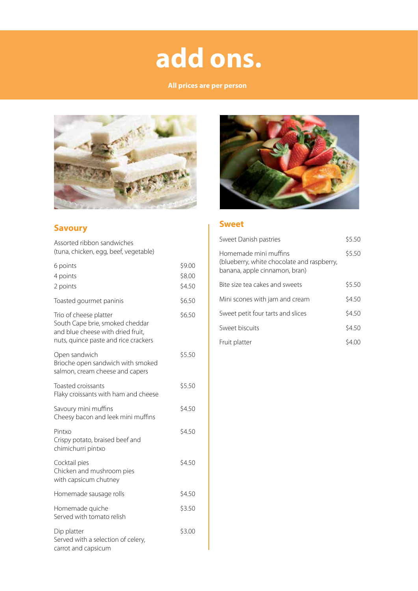# **add ons.**

#### **All prices are per person**



#### **Savoury**

Assorted ribbon sandwiches (tuna, chicken, egg, beef, vegetable)

| 6 points<br>4 points<br>2 points                                                                                                       | \$9.00<br>\$8.00<br>\$4.50 |
|----------------------------------------------------------------------------------------------------------------------------------------|----------------------------|
| Toasted gourmet paninis                                                                                                                | \$6.50                     |
| Trio of cheese platter<br>South Cape brie, smoked cheddar<br>and blue cheese with dried fruit,<br>nuts, quince paste and rice crackers | \$6.50                     |
| Open sandwich<br>Brioche open sandwich with smoked<br>salmon, cream cheese and capers                                                  | \$5.50                     |
| Toasted croissants<br>Flaky croissants with ham and cheese                                                                             | \$5.50                     |
| Savoury mini muffins<br>Cheesy bacon and leek mini muffins                                                                             | \$4.50                     |
| Pintxo<br>Crispy potato, braised beef and<br>chimichurri pintxo                                                                        | \$4.50                     |
| Cocktail pies<br>Chicken and mushroom pies<br>with capsicum chutney                                                                    | \$4.50                     |
| Homemade sausage rolls                                                                                                                 | \$4.50                     |
| Homemade quiche<br>Served with tomato relish                                                                                           | \$3.50                     |
| Dip platter<br>Served with a selection of celery,<br>carrot and capsicum                                                               | \$3.00                     |



#### **Sweet**

| Sweet Danish pastries                                                                                | \$5.50 |
|------------------------------------------------------------------------------------------------------|--------|
| Homemade mini muffins<br>(blueberry, white chocolate and raspberry,<br>banana, apple cinnamon, bran) | \$5.50 |
| Bite size tea cakes and sweets                                                                       | \$5.50 |
| Mini scones with jam and cream                                                                       | \$4.50 |
| Sweet petit four tarts and slices                                                                    | \$4.50 |
| Sweet biscuits                                                                                       | \$4.50 |
| Fruit platter                                                                                        | S4.00  |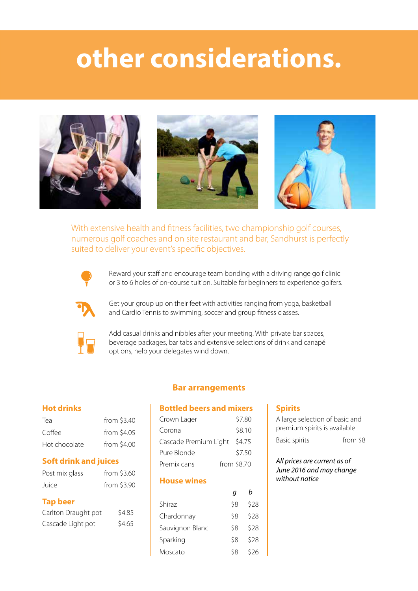## **other considerations.**







With extensive health and fitness facilities, two championship golf courses, numerous golf coaches and on site restaurant and bar, Sandhurst is perfectly suited to deliver your event's specific objectives.



Reward your staff and encourage team bonding with a driving range golf clinic or 3 to 6 holes of on-course tuition. Suitable for beginners to experience golfers.



Get your group up on their feet with activities ranging from yoga, basketball and Cardio Tennis to swimming, soccer and group fitness classes.



Add casual drinks and nibbles after your meeting. With private bar spaces, beverage packages, bar tabs and extensive selections of drink and canapé options, help your delegates wind down.

#### **Hot drinks**

| Tea           | from $$3.40$ |
|---------------|--------------|
| Coffee        | from \$4.05  |
| Hot chocolate | from \$4.00  |

#### **Soft drink and juices**

| Post mix glass | from $$3.60$ |
|----------------|--------------|
| Juice          | from \$3.90  |

#### **Tap beer**

| Carlton Draught pot | \$4.85 |
|---------------------|--------|
| Cascade Light pot   | \$4.65 |

#### **Bar arrangements**

#### **Bottled beers and mixers**

| Crown Lager           | \$7.80      |
|-----------------------|-------------|
| Corona                | \$8.10      |
| Cascade Premium Light | \$4.75      |
| Pure Blonde           | \$7.50      |
| Premix cans           | from \$8.70 |

#### **House wines**

| Shiraz          | \$8 | \$28 |
|-----------------|-----|------|
| Chardonnay      | \$8 | \$28 |
| Sauvignon Blanc | \$8 | \$28 |
| Sparking        | \$8 | \$28 |
| Moscato         | ς8  | \$26 |

#### **Spirits**

| A large selection of basic and |          |
|--------------------------------|----------|
| premium spirits is available   |          |
| <b>Basic spirits</b>           | from \$8 |

*All prices are current as of June 2016 and may change without notice*